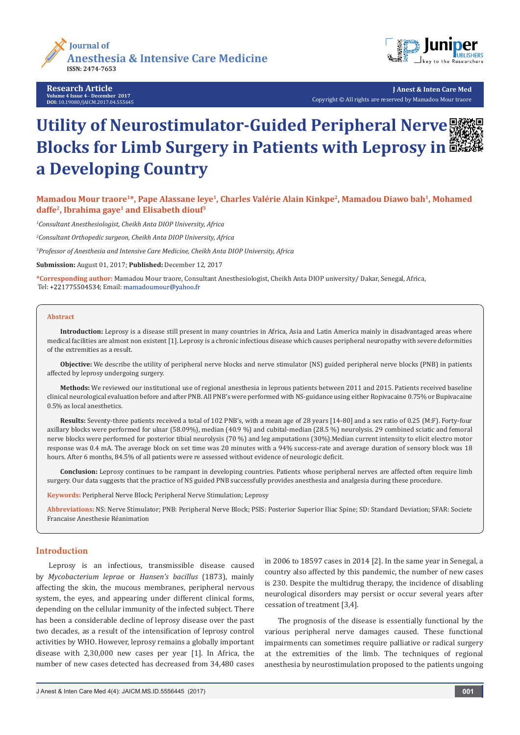

**Research Article Volume 4 Issue 4**- **December 2017 DOI:** [10.19080/JAICM.2017.04.555645](http://dx.doi.org/10.19080/JAICM.2017.04.555645)



**J Anest & Inten Care Med** Copyright © All rights are reserved by Mamadou Mour traore

# Utility of Neurostimulator-Guided Peripheral Nerve **聚築 Blocks for Limb Surgery in Patients with Leprosy in a Developing Country**

Mamadou Mour traore<sup>1\*</sup>, Pape Alassane leye<sup>1</sup>, Charles Valérie Alain Kinkpe<sup>2</sup>, Mamadou Diawo bah<sup>1</sup>, Mohamed **daffe2, Ibrahima gaye1 and Elisabeth diouf3**

*1 Consultant Anesthesiologist, Cheikh Anta DIOP University, Africa*

*2 Consultant Orthopedic surgeon, Cheikh Anta DIOP University, Africa*

*3 Professor of Anesthesia and Intensive Care Medicine, Cheikh Anta DIOP University, Africa*

**Submission:** August 01, 2017; **Published:** December 12, 2017

**\*Corresponding author:** Mamadou Mour traore, Consultant Anesthesiologist, Cheikh Anta DIOP university/ Dakar, Senegal, Africa, Tel: +221775504534; Email: mamadoumour@yahoo.fr

#### **Abstract**

**Introduction:** Leprosy is a disease still present in many countries in Africa, Asia and Latin America mainly in disadvantaged areas where medical facilities are almost non existent [1]. Leprosy is a chronic infectious disease which causes peripheral neuropathy with severe deformities of the extremities as a result.

**Objective:** We describe the utility of peripheral nerve blocks and nerve stimulator (NS) guided peripheral nerve blocks (PNB) in patients affected by leprosy undergoing surgery.

**Methods:** We reviewed our institutional use of regional anesthesia in leprous patients between 2011 and 2015. Patients received baseline clinical neurological evaluation before and after PNB. All PNB's were performed with NS-guidance using either Ropivacaine 0.75% or Bupivacaine 0.5% as local anesthetics.

**Results:** Seventy-three patients received a total of 102 PNB's, with a mean age of 28 years [14-80] and a sex ratio of 0.25 (M:F). Forty-four axillary blocks were performed for ulnar (58.09%), median (40.9 %) and cubital-median (28.5 %) neurolysis. 29 combined sciatic and femoral nerve blocks were performed for posterior tibial neurolysis (70 %) and leg amputations (30%).Median current intensity to elicit electro motor response was 0.4 mA. The average block on set time was 20 minutes with a 94% success-rate and average duration of sensory block was 18 hours. After 6 months, 84.5% of all patients were re assessed without evidence of neurologic deficit.

**Conclusion:** Leprosy continues to be rampant in developing countries. Patients whose peripheral nerves are affected often require limb surgery. Our data suggests that the practice of NS guided PNB successfully provides anesthesia and analgesia during these procedure.

**Keywords:** Peripheral Nerve Block; Peripheral Nerve Stimulation; Leprosy

**Abbreviations:** NS: Nerve Stimulator; PNB: Peripheral Nerve Block; PSIS: Posterior Superior Iliac Spine; SD: Standard Deviation; SFAR: Societe Francaise Anesthesie Réanimation

#### **Introduction**

Leprosy is an infectious, transmissible disease caused by *Mycobacterium leprae* or *Hansen's bacillus* (1873), mainly affecting the skin, the mucous membranes, peripheral nervous system, the eyes, and appearing under different clinical forms, depending on the cellular immunity of the infected subject. There has been a considerable decline of leprosy disease over the past two decades, as a result of the intensification of leprosy control activities by WHO. However, leprosy remains a globally important disease with 2,30,000 new cases per year [1]. In Africa, the number of new cases detected has decreased from 34,480 cases

in 2006 to 18597 cases in 2014 [2]. In the same year in Senegal, a country also affected by this pandemic, the number of new cases is 230. Despite the multidrug therapy, the incidence of disabling neurological disorders may persist or occur several years after cessation of treatment [3,4].

The prognosis of the disease is essentially functional by the various peripheral nerve damages caused. These functional impairments can sometimes require palliative or radical surgery at the extremities of the limb. The techniques of regional anesthesia by neurostimulation proposed to the patients ungoing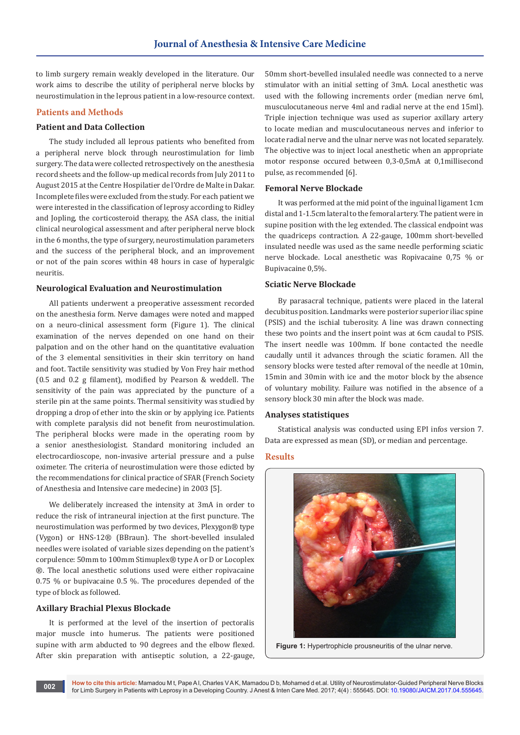to limb surgery remain weakly developed in the literature. Our work aims to describe the utility of peripheral nerve blocks by neurostimulation in the leprous patient in a low-resource context.

# **Patients and Methods**

#### **Patient and Data Collection**

The study included all leprous patients who benefited from a peripheral nerve block through neurostimulation for limb surgery. The data were collected retrospectively on the anesthesia record sheets and the follow-up medical records from July 2011 to August 2015 at the Centre Hospilatier de l'Ordre de Malte in Dakar. Incomplete files were excluded from the study. For each patient we were interested in the classification of leprosy according to Ridley and Jopling, the corticosteroid therapy, the ASA class, the initial clinical neurological assessment and after peripheral nerve block in the 6 months, the type of surgery, neurostimulation parameters and the success of the peripheral block, and an improvement or not of the pain scores within 48 hours in case of hyperalgic neuritis.

# **Neurological Evaluation and Neurostimulation**

All patients underwent a preoperative assessment recorded on the anesthesia form. Nerve damages were noted and mapped on a neuro-clinical assessment form (Figure 1). The clinical examination of the nerves depended on one hand on their palpation and on the other hand on the quantitative evaluation of the 3 elemental sensitivities in their skin territory on hand and foot. Tactile sensitivity was studied by Von Frey hair method (0.5 and 0.2 g filament), modified by Pearson & weddell. The sensitivity of the pain was appreciated by the puncture of a sterile pin at the same points. Thermal sensitivity was studied by dropping a drop of ether into the skin or by applying ice. Patients with complete paralysis did not benefit from neurostimulation. The peripheral blocks were made in the operating room by a senior anesthesiologist. Standard monitoring included an electrocardioscope, non-invasive arterial pressure and a pulse oximeter. The criteria of neurostimulation were those edicted by the recommendations for clinical practice of SFAR (French Society of Anesthesia and Intensive care medecine) in 2003 [5].

We deliberately increased the intensity at 3mA in order to reduce the risk of intraneural injection at the first puncture. The neurostimulation was performed by two devices, Plexygon® type (Vygon) or HNS-12® (BBraun). The short-bevelled insulaled needles were isolated of variable sizes depending on the patient's corpulence: 50mm to 100mm Stimuplex® type A or D or Locoplex ®. The local anesthetic solutions used were either ropivacaine 0.75 % or bupivacaine 0.5 %. The procedures depended of the type of block as followed.

# **Axillary Brachial Plexus Blockade**

It is performed at the level of the insertion of pectoralis major muscle into humerus. The patients were positioned supine with arm abducted to 90 degrees and the elbow flexed. After skin preparation with antiseptic solution, a 22-gauge,

50mm short-bevelled insulaled needle was connected to a nerve stimulator with an initial setting of 3mA. Local anesthetic was used with the following increments order (median nerve 6ml, musculocutaneous nerve 4ml and radial nerve at the end 15ml). Triple injection technique was used as superior axillary artery to locate median and musculocutaneous nerves and inferior to locate radial nerve and the ulnar nerve was not located separately. The objective was to inject local anesthetic when an appropriate motor response occured between 0,3-0,5mA at 0,1millisecond pulse, as recommended [6].

#### **Femoral Nerve Blockade**

It was performed at the mid point of the inguinal ligament 1cm distal and 1-1.5cm lateral to the femoral artery. The patient were in supine position with the leg extended. The classical endpoint was the quadriceps contraction. A 22-gauge, 100mm short-bevelled insulated needle was used as the same needle performing sciatic nerve blockade. Local anesthetic was Ropivacaine 0,75 % or Bupivacaine 0,5%.

## **Sciatic Nerve Blockade**

By parasacral technique, patients were placed in the lateral decubitus position. Landmarks were posterior superior iliac spine (PSIS) and the ischial tuberosity. A line was drawn connecting these two points and the insert point was at 6cm caudal to PSIS. The insert needle was 100mm. If bone contacted the needle caudally until it advances through the sciatic foramen. All the sensory blocks were tested after removal of the needle at 10min, 15min and 30min with ice and the motor block by the absence of voluntary mobility. Failure was notified in the absence of a sensory block 30 min after the block was made.

#### **Analyses statistiques**

Statistical analysis was conducted using EPI infos version 7. Data are expressed as mean (SD), or median and percentage.

#### **Results**



**Figure 1:** Hypertrophicle prousneuritis of the ulnar nerve.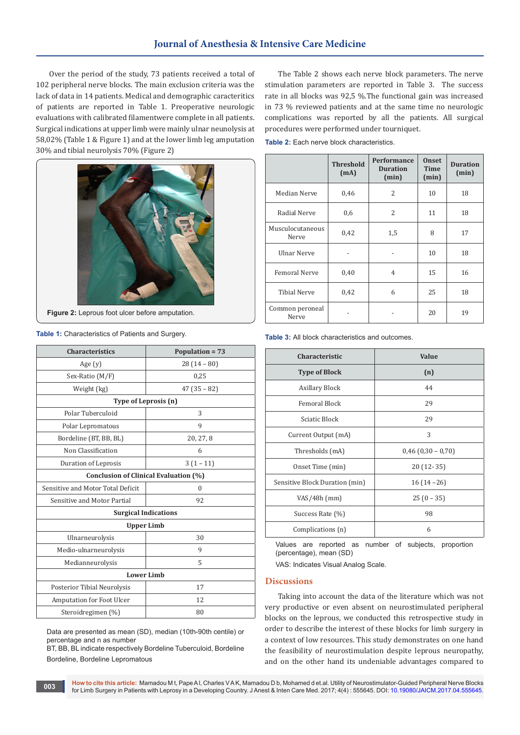# **Journal of Anesthesia & Intensive Care Medicine**

Over the period of the study, 73 patients received a total of 102 peripheral nerve blocks. The main exclusion criteria was the lack of data in 14 patients. Medical and demographic caracteritics of patients are reported in Table 1. Preoperative neurologic evaluations with calibrated filamentwere complete in all patients. Surgical indications at upper limb were mainly ulnar neunolysis at 58,02% (Table 1 & Figure 1) and at the lower limb leg amputation 30% and tibial neurolysis 70% (Figure 2)



Figure 2: Leprous foot ulcer before amputation.

**Table 1:** Characteristics of Patients and Surgery.

| <b>Characteristics</b>                | Population = 73 |  |  |
|---------------------------------------|-----------------|--|--|
| Age $(y)$                             | $28(14-80)$     |  |  |
| Sex-Ratio (M/F)                       | 0,25            |  |  |
| Weight (kg)                           | $47(35-82)$     |  |  |
| Type of Leprosis (n)                  |                 |  |  |
| Polar Tuberculoid                     | 3               |  |  |
| Polar Lepromatous                     | 9               |  |  |
| Bordeline (BT, BB, BL)                | 20, 27, 8       |  |  |
| Non Classification                    | 6               |  |  |
| Duration of Leprosis                  | $3(1-11)$       |  |  |
| Conclusion of Clinical Evaluation (%) |                 |  |  |
| Sensitive and Motor Total Deficit     | $\theta$        |  |  |
| Sensitive and Motor Partial           | 92              |  |  |
| <b>Surgical Indications</b>           |                 |  |  |
| <b>Upper Limb</b>                     |                 |  |  |
| Ulnarneurolysis                       | 30              |  |  |
| Medio-ulnarneurolysis                 | 9               |  |  |
| Medianneurolysis                      | 5               |  |  |
| <b>Lower Limb</b>                     |                 |  |  |
| Posterior Tibial Neurolysis           | 17              |  |  |
| Amputation for Foot Ulcer             | 12              |  |  |
| Steroidregimen (%)                    | 80              |  |  |

Data are presented as mean (SD), median (10th-90th centile) or percentage and n as number

BT, BB, BL indicate respectively Bordeline Tuberculoid, Bordeline Bordeline, Bordeline Lepromatous

The Table 2 shows each nerve block parameters. The nerve stimulation parameters are reported in Table 3. The success rate in all blocks was 92,5 %.The functional gain was increased in 73 % reviewed patients and at the same time no neurologic complications was reported by all the patients. All surgical procedures were performed under tourniquet.

|                           | <b>Threshold</b><br>(mA) | <b>Performance</b><br><b>Duration</b><br>(min) | <b>Onset</b><br><b>Time</b><br>(min) | <b>Duration</b><br>(min) |
|---------------------------|--------------------------|------------------------------------------------|--------------------------------------|--------------------------|
| Median Nerve              | 0,46                     | 2                                              | 10                                   | 18                       |
| Radial Nerve              | 0,6                      | 2                                              | 11                                   | 18                       |
| Musculocutaneous<br>Nerve | 0,42                     | 1,5                                            | 8                                    | 17                       |
| <b>Ulnar Nerve</b>        |                          |                                                | 10                                   | 18                       |
| <b>Femoral Nerve</b>      | 0,40                     | 4                                              | 15                                   | 16                       |
| <b>Tibial Nerve</b>       | 0,42                     | 6                                              | 25                                   | 18                       |
| Common peroneal<br>Nerve  |                          |                                                | 20                                   | 19                       |

**Table 3:** All block characteristics and outcomes.

| Characteristic                 | Value                |  |
|--------------------------------|----------------------|--|
| <b>Type of Block</b>           | (n)                  |  |
| Axillary Block                 | 44                   |  |
| <b>Femoral Block</b>           | 29                   |  |
| Sciatic Block                  | 29                   |  |
| Current Output (mA)            | 3                    |  |
| Thresholds (mA)                | $0,46$ (0,30 – 0,70) |  |
| Onset Time (min)               | $20(12-35)$          |  |
| Sensitive Block Duration (min) | $16(14-26)$          |  |
| $VAS/48h$ (mm)                 | $25(0 - 35)$         |  |
| Success Rate (%)               | 98                   |  |
| Complications (n)              | 6                    |  |

Values are reported as number of subjects, proportion (percentage), mean (SD)

VAS: Indicates Visual Analog Scale.

# **Discussions**

Taking into account the data of the literature which was not very productive or even absent on neurostimulated peripheral blocks on the leprous, we conducted this retrospective study in order to describe the interest of these blocks for limb surgery in a context of low resources. This study demonstrates on one hand the feasibility of neurostimulation despite leprous neuropathy, and on the other hand its undeniable advantages compared to

**How to cite this article:** Mamadou M t, Pape A l, Charles V A K, Mamadou D b, Mohamed d et.al. Utility of Neurostimulator-Guided Peripheral Nerve Blocks for Limb Surgery in Patients with Leprosy in a Developing Country. J Anest & Inten Care Med. 2017; 4(4) : 555645. DOI: [10.19080/JAICM.2017.04.555645.](http://dx.doi.org/10.19080/JAICM.2017.04.555645) **<sup>003</sup>**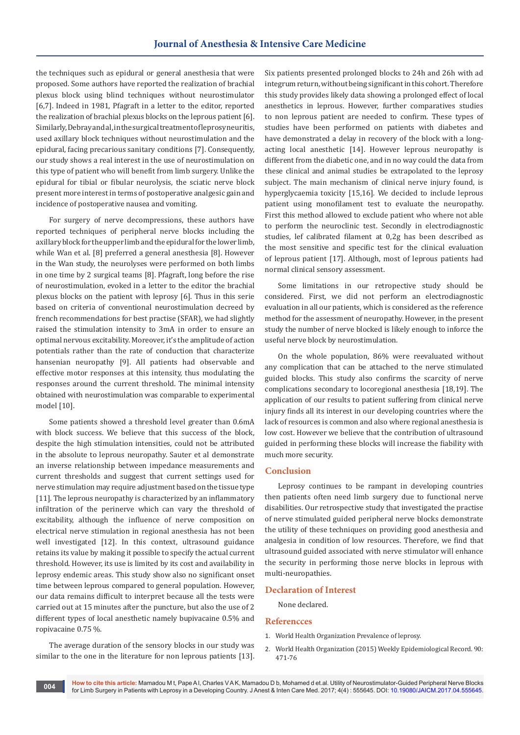the techniques such as epidural or general anesthesia that were proposed. Some authors have reported the realization of brachial plexus block using blind techniques without neurostimulator [6,7]. Indeed in 1981, Pfagraft in a letter to the editor, reported the realization of brachial plexus blocks on the leprous patient [6]. Similarly, Debray and al, in the surgical treatment of leprosy neuritis, used axillary block techniques without neurostimulation and the epidural, facing precarious sanitary conditions [7]. Consequently, our study shows a real interest in the use of neurostimulation on this type of patient who will benefit from limb surgery. Unlike the epidural for tibial or fibular neurolysis, the sciatic nerve block present more interest in terms of postoperative analgesic gain and incidence of postoperative nausea and vomiting.

For surgery of nerve decompressions, these authors have reported techniques of peripheral nerve blocks including the axillary block for the upper limb and the epidural for the lower limb, while Wan et al. [8] preferred a general anesthesia [8]. However in the Wan study, the neurolyses were performed on both limbs in one time by 2 surgical teams [8]. Pfagraft, long before the rise of neurostimulation, evoked in a letter to the editor the brachial plexus blocks on the patient with leprosy [6]. Thus in this serie based on criteria of conventional neurostimulation decreed by french recommendations for best practise (SFAR), we had slightly raised the stimulation intensity to 3mA in order to ensure an optimal nervous excitability. Moreover, it's the amplitude of action potentials rather than the rate of conduction that characterize hansenian neuropathy [9]. All patients had observable and effective motor responses at this intensity, thus modulating the responses around the current threshold. The minimal intensity obtained with neurostimulation was comparable to experimental model [10].

Some patients showed a threshold level greater than 0.6mA with block success. We believe that this success of the block, despite the high stimulation intensities, could not be attributed in the absolute to leprous neuropathy. Sauter et al demonstrate an inverse relationship between impedance measurements and current thresholds and suggest that current settings used for nerve stimulation may require adjustment based on the tissue type [11]. The leprous neuropathy is characterized by an inflammatory infiltration of the perinerve which can vary the threshold of excitability, although the influence of nerve composition on electrical nerve stimulation in regional anesthesia has not been well investigated [12]. In this context, ultrasound guidance retains its value by making it possible to specify the actual current threshold. However, its use is limited by its cost and availability in leprosy endemic areas. This study show also no significant onset time between leprous compared to general population. However, our data remains difficult to interpret because all the tests were carried out at 15 minutes after the puncture, but also the use of 2 different types of local anesthetic namely bupivacaine 0.5% and ropivacaine 0.75 %.

The average duration of the sensory blocks in our study was similar to the one in the literature for non leprous patients [13]. Six patients presented prolonged blocks to 24h and 26h with ad integrum return, without being significant in this cohort. Therefore this study provides likely data showing a prolonged effect of local anesthetics in leprous. However, further comparatives studies to non leprous patient are needed to confirm. These types of studies have been performed on patients with diabetes and have demonstrated a delay in recovery of the block with a longacting local anesthetic [14]. However leprous neuropathy is different from the diabetic one, and in no way could the data from these clinical and animal studies be extrapolated to the leprosy subject. The main mechanism of clinical nerve injury found, is hyperglycaemia toxicity [15,16]. We decided to include leprous patient using monofilament test to evaluate the neuropathy. First this method allowed to exclude patient who where not able to perform the neuroclinic test. Secondly in electrodiagnostic studies, lef calibrated filament at 0,2g has been described as the most sensitive and specific test for the clinical evaluation of leprous patient [17]. Although, most of leprous patients had normal clinical sensory assessment.

Some limitations in our retropective study should be considered. First, we did not perform an electrodiagnostic evaluation in all our patients, which is considered as the reference method for the assessment of neuropathy. However, in the present study the number of nerve blocked is likely enough to inforce the useful nerve block by neurostimulation.

On the whole population, 86% were reevaluated without any complication that can be attached to the nerve stimulated guided blocks. This study also confirms the scarcity of nerve complications secondary to locoregional anesthesia [18,19]. The application of our results to patient suffering from clinical nerve injury finds all its interest in our developing countries where the lack of resources is common and also where regional anesthesia is low cost. However we believe that the contribution of ultrasound guided in performing these blocks will increase the fiability with much more security.

#### **Conclusion**

Leprosy continues to be rampant in developing countries then patients often need limb surgery due to functional nerve disabilities. Our retrospective study that investigated the practise of nerve stimulated guided peripheral nerve blocks demonstrate the utility of these techniques on providing good anesthesia and analgesia in condition of low resources. Therefore, we find that ultrasound guided associated with nerve stimulator will enhance the security in performing those nerve blocks in leprous with multi-neuropathies.

#### **Declaration of Interest**

None declared.

#### **Referencces**

- 1. World Health Organization Prevalence of leprosy.
- 2. World Health Organization (2015) Weekly Epidemiological Record. 90: 471-76